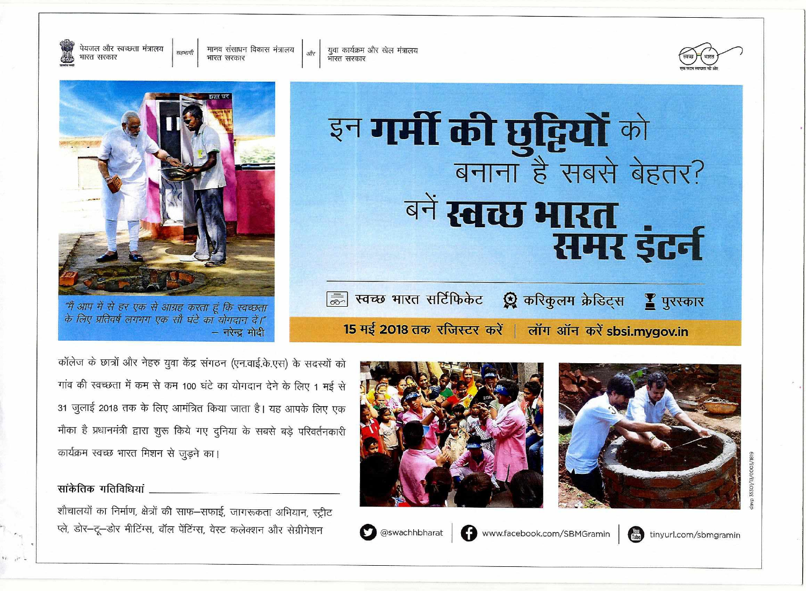

युवा कार्यक्रम और खेल मंत्रालय भारत सरकार

पेयजल और स्वच्छता मंत्रालय मानव संसाधन विकास मंत्रालय सहभागी भारत सरकार भारत सरकार





– नरेन्द्र मोदी

@swachhbharat



कॉलेज के छात्रों और नेहरु युवा केंद्र संगठन (एन.वाई.के.एस) के सदस्यों को गांव की स्वच्छता में कम से कम 100 घंटे का योगदान देने के लिए 1 मई से 31 जुलाई 2018 तक के लिए आमंत्रित किया जाता है। यह आपके लिए एक मौका है प्रधानमंत्री द्वारा शुरू किये गए दुनिया के सबसे बड़े परिवर्तनकारी कार्यक्रम स्वच्छ भारत मिशन से जुड़ने का।

## सांकेतिक गतिविधियां

शौचालयों का निर्माण, क्षेत्रों की साफ-सफाई, जागरूकता अभियान, स्ट्रीट प्ले, डोर-टू-डोर मीटिंग्स, वॉल पेंटिंग्स, वेस्ट कलेक्शन और सेग्रीगेशन

www.facebook.com/SBMGramin

tinyurl.com/sbmgramin